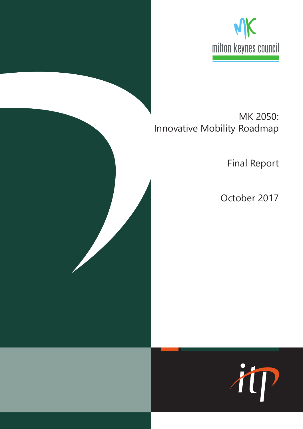

# MK 2050: Innovative Mobility Roadmap

Final Report

October 2017

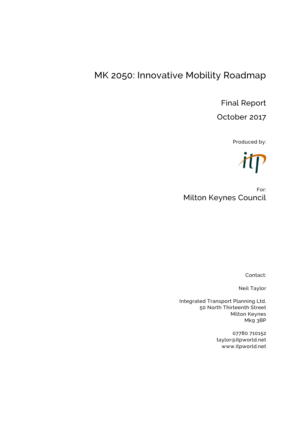## MK 2050: Innovative Mobility Roadmap

Final Report October 2017

Produced by:

itp

For: Milton Keynes Council

Contact:

Neil Taylor

Integrated Transport Planning Ltd. 50 North Thirteenth Street Milton Keynes Mk9 3BP

> 07780 710152 taylor@itpworld.net www.itpworld.net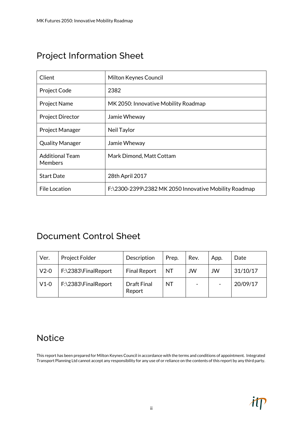# Project Information Sheet

| Client                                   | <b>Milton Keynes Council</b>                          |
|------------------------------------------|-------------------------------------------------------|
| <b>Project Code</b>                      | 2382                                                  |
| <b>Project Name</b>                      | MK 2050: Innovative Mobility Roadmap                  |
| <b>Project Director</b>                  | Jamie Wheway                                          |
| Project Manager                          | Neil Taylor                                           |
| <b>Quality Manager</b>                   | Jamie Wheway                                          |
| <b>Additional Team</b><br><b>Members</b> | Mark Dimond, Matt Cottam                              |
| <b>Start Date</b>                        | 28th April 2017                                       |
| <b>File Location</b>                     | F:\2300-2399\2382 MK 2050 Innovative Mobility Roadmap |

### Document Control Sheet

| Ver.   | Project Folder      | Description                  | Prep.     | Rev. | App.                     | Date     |
|--------|---------------------|------------------------------|-----------|------|--------------------------|----------|
| $V2-0$ | F:\2383\FinalReport | <b>Final Report</b>          | NT        | JW   | JW                       | 31/10/17 |
| $V1-0$ | F:\2383\FinalReport | <b>Draft Final</b><br>Report | <b>NT</b> |      | $\overline{\phantom{0}}$ | 20/09/17 |

# Notice

This report has been prepared for Milton Keynes Council in accordance with the terms and conditions of appointment. Integrated Transport Planning Ltd cannot accept any responsibility for any use of or reliance on the contents of this report by any third party.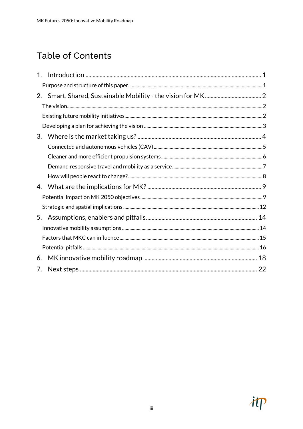# **Table of Contents**

| 1. |  |
|----|--|
|    |  |
| 2. |  |
|    |  |
|    |  |
|    |  |
| 3. |  |
|    |  |
|    |  |
|    |  |
|    |  |
| 4. |  |
|    |  |
|    |  |
| 5. |  |
|    |  |
|    |  |
|    |  |
| 6. |  |
| 7. |  |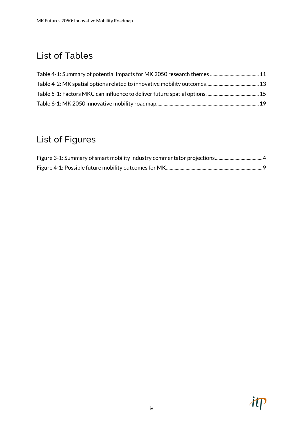# List of Tables

# List of Figures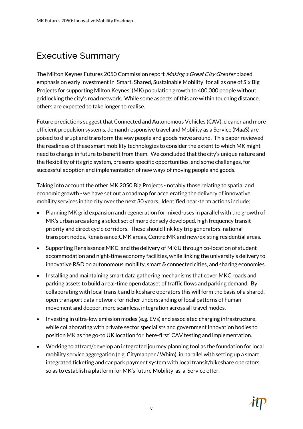# Executive Summary

The Milton Keynes Futures 2050 Commission report Making a Great City Greater placed emphasis on early investment in 'Smart, Shared, Sustainable Mobility' for all as one of Six Big Projects for supporting Milton Keynes' (MK) population growth to 400,000 people without gridlocking the city's road network. While some aspects of this are within touching distance, others are expected to take longer to realise.

Future predictions suggest that Connected and Autonomous Vehicles (CAV), cleaner and more efficient propulsion systems, demand responsive travel and Mobility as a Service (MaaS) are poised to disrupt and transform the way people and goods move around. This paper reviewed the readiness of these smart mobility technologies to consider the extent to which MK might need to change in future to benefit from them. We concluded that the city's unique nature and the flexibility of its grid system, presents specific opportunities, and some challenges, for successful adoption and implementation of new ways of moving people and goods.

Taking into account the other MK 2050 Big Projects - notably those relating to spatial and economic growth - we have set out a roadmap for accelerating the delivery of innovative mobility services in the city over the next 30 years. Identified near-term actions include:

- Planning MK grid expansion and regeneration for mixed-uses in parallel with the growth of MK's urban area along a select set of more densely developed, high frequency transit priority and direct cycle corridors. These should link key trip generators, national transport nodes, Renaissance:CMK areas, Centre:MK and new/existing residential areas.
- Supporting Renaissance:MKC, and the delivery of MK:U through co-location of student accommodation and night-time economy facilities, while linking the university's delivery to innovative R&D on autonomous mobility, smart & connected cities, and sharing economies.
- Installing and maintaining smart data gathering mechanisms that cover MKC roads and parking assets to build a real-time open dataset of traffic flows and parking demand. By collaborating with local transit and bikeshare operators this will form the basis of a shared, open transport data network for richer understanding of local patterns of human movement and deeper, more seamless, integration across all travel modes.
- Investing in ultra-low emission modes (e.g. EVs) and associated charging infrastructure, while collaborating with private sector specialists and government innovation bodies to position MK as the go-to UK location for 'here-first' CAV testing and implementation.
- Working to attract/develop an integrated journey planning tool as the foundation for local mobility service aggregation (e.g. Citymapper / Whim). in parallel with setting up a smart integrated ticketing and car park payment system with local transit/bikeshare operators, so as to establish a platform for MK's future Mobility-as-a-Service offer.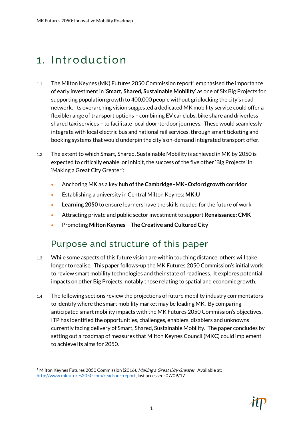# 1. Introduction

- 1.1 The Milton Keynes (MK) Futures 2050 Commission report<sup>1</sup> emphasised the importance of early investment in 'Smart, Shared, Sustainable Mobility' as one of Six Big Projects for supporting population growth to 400,000 people without gridlocking the city's road network. Its overarching vision suggested a dedicated MK mobility service could offer a flexible range of transport options – combining EV car clubs, bike share and driverless shared taxi services – to facilitate local door-to-door journeys. These would seamlessly integrate with local electric bus and national rail services, through smart ticketing and booking systems that would underpin the city's on-demand integrated transport offer.
- 1.2 The extent to which Smart, Shared, Sustainable Mobility is achieved in MK by 2050 is expected to critically enable, or inhibit, the success of the five other 'Big Projects' in 'Making a Great City Greater':
	- Anchoring MK as a key hub of the Cambridge–MK–Oxford growth corridor
	- Establishing a university in Central Milton Keynes: MK:U
	- Learning 2050 to ensure learners have the skills needed for the future of work
	- Attracting private and public sector investment to support Renaissance: CMK
	- Promoting Milton Keynes The Creative and Cultured City

### Purpose and structure of this paper

- 1.3 While some aspects of this future vision are within touching distance, others will take longer to realise. This paper follows-up the MK Futures 2050 Commission's initial work to review smart mobility technologies and their state of readiness. It explores potential impacts on other Big Projects, notably those relating to spatial and economic growth.
- 1.4 The following sections review the projections of future mobility industry commentators to identify where the smart mobility market may be leading MK. By comparing anticipated smart mobility impacts with the MK Futures 2050 Commission's objectives, ITP has identified the opportunities, challenges, enablers, disablers and unknowns currently facing delivery of Smart, Shared, Sustainable Mobility. The paper concludes by setting out a roadmap of measures that Milton Keynes Council (MKC) could implement to achieve its aims for 2050.

1

<sup>&</sup>lt;sup>1</sup> Milton Keynes Futures 2050 Commission (2016), *Making a Great City Greater*. Available at: [http://www.mkfutures2050.com/read-our-report,](http://www.mkfutures2050.com/read-our-report) last accessed: 07/09/17.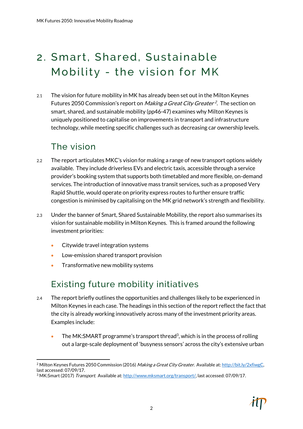# 2. Smart, Shared, Sustainable Mobility - the vision for MK

2.1 The vision for future mobility in MK has already been set out in the Milton Keynes Futures 2050 Commission's report on *Making a Great City Greater<sup>2</sup>.* The section on smart, shared, and sustainable mobility (pp46-47) examines why Milton Keynes is uniquely positioned to capitalise on improvements in transport and infrastructure technology, while meeting specific challenges such as decreasing car ownership levels.

# The vision

- 2.2 The report articulates MKC's vision for making a range of new transport options widely available. They include driverless EVs and electric taxis, accessible through a service provider's booking system that supports both timetabled and more flexible, on-demand services. The introduction of innovative mass transit services, such as a proposed Very Rapid Shuttle, would operate on priority express routes to further ensure traffic congestion is minimised by capitalising on the MK grid network's strength and flexibility.
- 2.3 Under the banner of Smart, Shared Sustainable Mobility, the report also summarises its vision for sustainable mobility in Milton Keynes. This is framed around the following investment priorities:
	- Citywide travel integration systems
	- Low-emission shared transport provision
	- Transformative new mobility systems

# Existing future mobility initiatives

- 2.4 The report briefly outlines the opportunities and challenges likely to be experienced in Milton Keynes in each case. The headings in this section of the report reflect the fact that the city is already working innovatively across many of the investment priority areas. Examples include:
	- The MK:SMART programme's transport thread<sup>3</sup>, which is in the process of rolling out a large-scale deployment of 'busyness sensors' across the city's extensive urban

<sup>.</sup> <sup>2</sup> Milton Keynes Futures 2050 Commission (2016) *Making a Great City Greater*. Available at: http://bit.ly/2xfiwgC, last accessed: 07/09/17.

<sup>3</sup> MK:Smart (2017) Transport. Available at[: http://www.mksmart.org/transport/,](http://www.mksmart.org/transport/) last accessed: 07/09/17.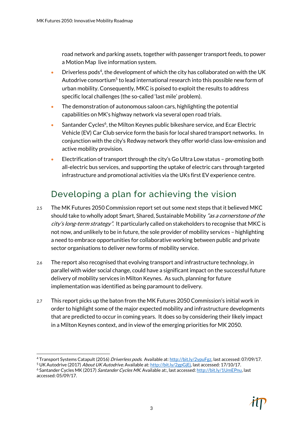road network and parking assets, together with passenger transport feeds, to power a Motion Map live information system.

- Driverless pods<sup>4</sup>, the development of which the city has collaborated on with the UK Autodrive consortium<sup>5</sup> to lead international research into this possible new form of urban mobility. Consequently, MKC is poised to exploit the results to address specific local challenges (the so-called 'last mile' problem).
- The demonstration of autonomous saloon cars, highlighting the potential capabilities on MK's highway network via several open road trials.
- $\bullet$  Santander Cycles<sup>6</sup>, the Milton Keynes public bikeshare service, and Ecar Electric Vehicle (EV) Car Club service form the basis for local shared transport networks. In conjunction with the city's Redway network they offer world-class low-emission and active mobility provision.
- Electrification of transport through the city's Go Ultra Low status promoting both all-electric bus services, and supporting the uptake of electric cars through targeted infrastructure and promotional activities via the UKs first EV experience centre.

# Developing a plan for achieving the vision

- 2.5 The MK Futures 2050 Commission report set out some next steps that it believed MKC should take to wholly adopt Smart, Shared, Sustainable Mobility "as a cornerstone of the city's long-term strategy". It particularly called on stakeholders to recognise that MKC is not now, and unlikely to be in future, the sole provider of mobility services – highlighting a need to embrace opportunities for collaborative working between public and private sector organisations to deliver new forms of mobility service.
- 2.6 The report also recognised that evolving transport and infrastructure technology, in parallel with wider social change, could have a significant impact on the successful future delivery of mobility services in Milton Keynes. As such, planning for future implementation was identified as being paramount to delivery.
- 2.7 This report picks up the baton from the MK Futures 2050 Commission's initial work in order to highlight some of the major expected mobility and infrastructure developments that are predicted to occur in coming years. It does so by considering their likely impact in a Milton Keynes context, and in view of the emerging priorities for MK 2050.

.



<sup>&</sup>lt;sup>4</sup> Transport Systems Catapult (2016) *Driverless pods*. Available at[: http://bit.ly/2ypuFgz,](http://bit.ly/2ypuFgz) last accessed: 07/09/17.

<sup>5</sup> UK Autodrive (2017) About UK Autodrive. Available at[: http://bit.ly/2gpGjEj,](http://bit.ly/2gpGjEj) last accessed: 17/10/17. <sup>6</sup> Santander Cycles MK (2017) Santander Cycles MK. Available at:, last accessed[: http://bit.ly/1UmEPnu,](http://bit.ly/1UmEPnu) last accessed: 05/09/17.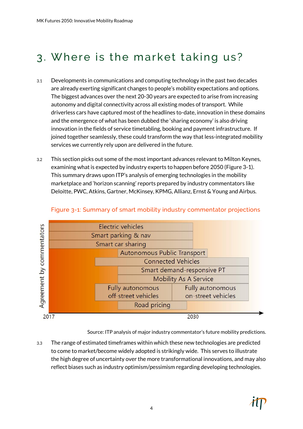# 3. Where is the market taking us?

- 3.1 Developments in communications and computing technology in the past two decades are already exerting significant changes to people's mobility expectations and options. The biggest advances over the next 20-30 years are expected to arise from increasing autonomy and digital connectivity across all existing modes of transport. While driverless cars have captured most of the headlines to-date, innovation in these domains and the emergence of what has been dubbed the 'sharing economy' is also driving innovation in the fields of service timetabling, booking and payment infrastructure. If joined together seamlessly, these could transform the way that less-integrated mobility services we currently rely upon are delivered in the future.
- 3.2 This section picks out some of the most important advances relevant to Milton Keynes, examining what is expected by industry experts to happen before 2050 (Figure 3-1). This summary draws upon ITP's analysis of emerging technologies in the mobility marketplace and 'horizon scanning' reports prepared by industry commentators like Deloitte, PWC, Atkins, Gartner, McKinsey, KPMG, Allianz, Ernst & Young and Airbus.



#### Figure 3-1: Summary of smart mobility industry commentator projections

Source: ITP analysis of major industry commentator's future mobility predictions.

3.3 The range of estimated timeframes within which these new technologies are predicted to come to market/become widely adopted is strikingly wide. This serves to illustrate the high degree of uncertainty over the more transformational innovations, and may also reflect biases such as industry optimism/pessimism regarding developing technologies.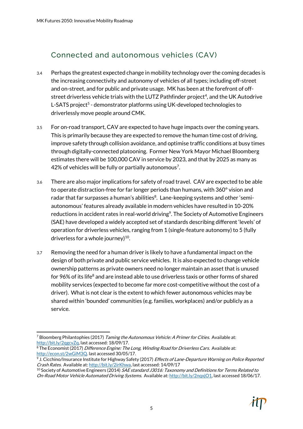### Connected and autonomous vehicles (CAV)

- 3.4 Perhaps the greatest expected change in mobility technology over the coming decades is the increasing connectivity and autonomy of vehicles of all types; including off-street and on-street, and for public and private usage. MK has been at the forefront of offstreet driverless vehicle trials with the LUTZ Pathfinder project<sup>4</sup>, and the UK Autodrive L-SATS project<sup>5</sup> - demonstrator platforms using UK-developed technologies to driverlessly move people around CMK.
- 3.5 For on-road transport, CAV are expected to have huge impacts over the coming years. This is primarily because they are expected to remove the human time cost of driving, improve safety through collision avoidance, and optimise traffic conditions at busy times through digitally-connected platooning. Former New York Mayor Michael Bloomberg estimates there will be 100,000 CAV in service by 2023, and that by 2025 as many as 42% of vehicles will be fully or partially autonomous<sup>7</sup>.
- 3.6 There are also major implications for safety of road travel. CAV are expected to be able to operate distraction-free for far longer periods than humans, with 360° vision and radar that far surpasses a human's abilities<sup>8</sup>. Lane-keeping systems and other 'semiautonomous' features already available in modern vehicles have resulted in 10-20% reductions in accident rates in real-world driving<sup>9</sup>. The Society of Automotive Engineers (SAE) have developed a widely accepted set of standards describing different 'levels' of operation for driverless vehicles, ranging from 1 (single-feature autonomy) to 5 (fully driverless for a whole journey) $^{10}$ .
- 3.7 Removing the need for a human driver is likely to have a fundamental impact on the design of both private and public service vehicles. It is also expected to change vehicle ownership patterns as private owners need no longer maintain an asset that is unused for 96% of its life<sup>8</sup> and are instead able to use driverless taxis or other forms of shared mobility services (expected to become far more cost-competitive without the cost of a driver). What is not clear is the extent to which fewer autonomous vehicles may be shared within 'bounded' communities (e.g. families, workplaces) and/or publicly as a service.

<sup>.</sup> <sup>7</sup> Bloomberg Philantophies (2017) *Taming the Autonomous Vehicle: A Primer for Cities*. Available at: [http://bit.ly/2qgcvZq,](http://bit.ly/2qgcvZq) last accessed: 18/09/17.

<sup>8</sup> The Economist (2017) Difference Engine: The Long, Winding Road for Driverless Cars. Available at: [http://econ.st/2wGiM3Q.](http://econ.st/2wGiM3Q) last accessed 30/05/17.

<sup>&</sup>lt;sup>9</sup> J. Cicchino/Insurance Institute for Highway Safety (2017) *Effects of Lane-Departure Warning on Police Reported* Crash Rates. Available at[: http://bit.ly/2irKhwa,](http://bit.ly/2irKhwa) last accessed: 14/09/17

<sup>&</sup>lt;sup>10</sup> Society of Automotive Engineers (2014) SAE standard J3016: Taxonomy and Definitions for Terms Related to On-Road Motor Vehicle Automated Driving Systems. Available at[: http://bit.ly/2nqxjO1,](http://bit.ly/2nqxjO1) last accessed 18/06/17.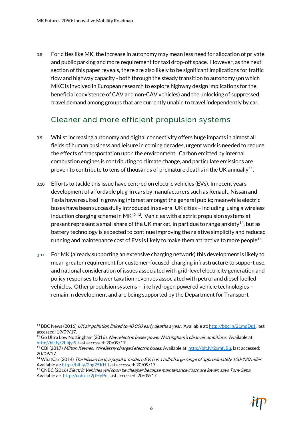3.8 For cities like MK, the increase in autonomy may mean less need for allocation of private and public parking and more requirement for taxi drop-off space. However, as the next section of this paper reveals, there are also likely to be significant implications for traffic flow and highway capacity - both through the steady transition to autonomy (on which MKC is involved in European research to explore highway design implications for the beneficial coexistence of CAV and non-CAV vehicles) and the unlocking of suppressed travel demand among groups that are currently unable to travel independently by car.

### Cleaner and more efficient propulsion systems

- 3.9 Whilst increasing autonomy and digital connectivity offers huge impacts in almost all fields of human business and leisure in coming decades, urgent work is needed to reduce the effects of transportation upon the environment. Carbon emitted by internal combustion engines is contributing to climate change, and particulate emissions are proven to contribute to tens of thousands of premature deaths in the UK annually<sup>11</sup>.
- 3.10 Efforts to tackle this issue have centred on electric vehicles (EVs). In recent years development of affordable plug-in cars by manufacturers such as Renault, Nissan and Tesla have resulted in growing interest amongst the general public; meanwhile electric buses have been successfully introduced in several UK cities – including using a wireless induction charging scheme in  $MK^{12}$  13. Vehicles with electric propulsion systems at present represent a small share of the UK market, in part due to range anxiety<sup>14</sup>, but as battery technology is expected to continue improving the relative simplicity and reduced running and maintenance cost of EVs is likely to make them attractive to more people<sup>15</sup>.
- $3.11$  For MK (already supporting an extensive charging network) this development is likely to mean greater requirement for customer-focused charging infrastructure to support use, and national consideration of issues associated with grid-level electricity generation and policy responses to lower taxation revenues associated with petrol and diesel fuelled vehicles. Other propulsion systems – like hydrogen powered vehicle technologies – remain in development and are being supported by the Department for Transport

<sup>1</sup> <sup>11</sup> BBC News (2016) *UK air pollution linked to 40,000 early deaths a year.* Available at[: http://bbc.in/21mdDs1,](http://bbc.in/21mdDs1) last accessed: 19/09/17.

<sup>&</sup>lt;sup>12</sup> Go Ultra Low Nottingham (2016), New electric buses power Nottingham's clean air ambitions. Available at: [http://bit.ly/2hhjyi9,](http://bit.ly/2hhjyi9) last accessed: 20/09/17.

<sup>13</sup> CBI (2017) Milton Keynes: Wirelessly charged electric buses. Available at[: http://bit.ly/2xmfJBu,](http://bit.ly/2xmfJBu) last accessed: 20/09/17.

<sup>&</sup>lt;sup>14</sup> WhatCar (2014) The Nissan Leaf, a popular modern EV, has a full-charge range of approximately 100-120 miles. Available at[: http://bit.ly/2hg25KH,](http://bit.ly/2hg25KH) last accessed: 20/09/17.

<sup>&</sup>lt;sup>15</sup> CNBC (2016) *Electric Vehicles will soon be cheaper because maintenance costs are lower, says Tony Seba.* Available at: [http://cnb.cx/2jJHyPo,](http://cnb.cx/2jJHyPo) last accessed: 20/09/17.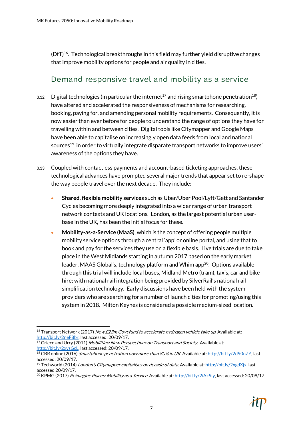$(DfT)<sup>16</sup>$ . Technological breakthroughs in this field may further yield disruptive changes that improve mobility options for people and air quality in cities.

### Demand responsive travel and mobility as a service

- 3.12 Digital technologies (in particular the internet<sup>17</sup> and rising smartphone penetration<sup>18</sup>) have altered and accelerated the responsiveness of mechanisms for researching, booking, paying for, and amending personal mobility requirements. Consequently, it is now easier than ever before for people to understand the range of options they have for travelling within and between cities. Digital tools like Citymapper and Google Maps have been able to capitalise on increasingly open data feeds from local and national sources $^{19}$  in order to virtually integrate disparate transport networks to improve users' awareness of the options they have.
- 3.13 Coupled with contactless payments and account-based ticketing approaches, these technological advances have prompted several major trends that appear set to re-shape the way people travel over the next decade. They include:
	- Shared, flexible mobility services such as Uber/Uber Pool/Lyft/Gett and Santander Cycles becoming more deeply integrated into a wider range of urban transport network contexts and UK locations. London, as the largest potential urban userbase in the UK, has been the initial focus for these.
	- Mobility-as-a-Service (MaaS), which is the concept of offering people multiple mobility service options through a central 'app' or online portal, and using that to book and pay for the services they use on a flexible basis. Live trials are due to take place in the West Midlands starting in autumn 2017 based on the early market leader, MAAS Global's, technology platform and Whim app<sup>20</sup>. Options available through this trial will include local buses, Midland Metro (tram), taxis, car and bike hire; with national rail integration being provided by SilverRail's national rail simplification technology. Early discussions have been held with the system providers who are searching for a number of launch cities for promoting/using this system in 2018. Milton Keynes is considered a possible medium-sized location.

.

<sup>&</sup>lt;sup>16</sup> Transport Network (2017) New £23m Govt fund to accelerate hydrogen vehicle take up. Available at: [http://bit.ly/2neF8br,](http://bit.ly/2neF8br) last accessed: 20/09/17.

 $17$  Grieco and Urry (2011) Mobilities: New Perspectives on Transport and Society. Available at: [http://bit.ly/2xvsGcL,](http://bit.ly/2xvsGcL) last accessed: 20/09/17.

<sup>&</sup>lt;sup>18</sup> CBR online (2016) Smartphone penetration now more than 80% in UK. Available at[: http://bit.ly/2d90nZY,](http://bit.ly/2d90nZY) last accessed: 20/09/17.

<sup>&</sup>lt;sup>19</sup> Techworld (2014) *London's Citymapper capitalises on decade of data*. Available at[: http://bit.ly/2xgdXjx,](http://bit.ly/2xgdXjx) last accessed 20/09/17.

<sup>&</sup>lt;sup>20</sup> KPMG (2017) *Reimagine Places: Mobility as a Service*. Available at[: http://bit.ly/2iAk9iy,](http://bit.ly/2iAk9iy) last accessed: 20/09/17.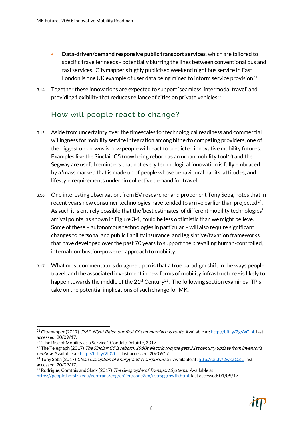- Data-driven/demand responsive public transport services, which are tailored to specific traveller needs - potentially blurring the lines between conventional bus and taxi services. Citymapper's highly publicised weekend night bus service in East London is one UK example of user data being mined to inform service provision $^{21}$ .
- 3.14 Together these innovations are expected to support 'seamless, intermodal travel' and providing flexibility that reduces reliance of cities on private vehicles $^{22}$ .

### How will people react to change?

- 3.15 Aside from uncertainty over the timescales for technological readiness and commercial willingness for mobility service integration among hitherto competing providers, one of the biggest unknowns is how people will react to predicted innovative mobility futures. Examples like the Sinclair C5 (now being reborn as an urban mobility tool<sup>23</sup>) and the Segway are useful reminders that not every technological innovation is fully embraced by a 'mass market' that is made up of people whose behavioural habits, attitudes, and lifestyle requirements underpin collective demand for travel.
- 3.16 One interesting observation, from EV researcher and proponent Tony Seba, notes that in recent years new consumer technologies have tended to arrive earlier than projected $^{24}$ . As such it is entirely possible that the 'best estimates' of different mobility technologies' arrival points, as shown in Figure 3-1, could be less optimistic than we might believe. Some of these – autonomous technologies in particular – will also require significant changes to personal and public liability insurance, and legislative/taxation frameworks, that have developed over the past 70 years to support the prevailing human-controlled, internal combustion-powered approach to mobility.
- 3.17 What most commentators do agree upon is that a true paradigm shift in the ways people travel, and the associated investment in new forms of mobility infrastructure - is likely to happen towards the middle of the  $21<sup>st</sup>$  Century<sup>25</sup>. The following section examines ITP's take on the potential implications of such change for MK.

<sup>25</sup> Rodrigue, Comtois and Slack (2017) *The Geography of Transport Systems*. Available at:

<sup>.</sup> <sup>21</sup> Citymapper (2017) CM2- Night Rider, our first ££ commercial bus route. Available at[: http://bit.ly/2gVgCL4,](http://bit.ly/2gVgCL4) last accessed: 20/09/17.

<sup>22</sup> "The Rise of Mobility as a Service", Goodall/Deloitte, 2017.

<sup>&</sup>lt;sup>23</sup> The Telegraph (2017) The Sinclair C5 is reborn: 1980s electric tricycle gets 21st century update from inventor's nephew. Available at[: http://bit.ly/2l02tJc,](http://bit.ly/2l02tJc) last accessed: 20/09/17.

<sup>&</sup>lt;sup>24</sup> Tony Seba (2017) Clean Disruption of Energy and Transportation. Available at: [http://bit.ly/2wxZQZL,](http://bit.ly/2wxZQZL) last accessed: 20/09/17.

[https://people.hofstra.edu/geotrans/eng/ch2en/conc2en/ustrspgrowth.html,](https://people.hofstra.edu/geotrans/eng/ch2en/conc2en/ustrspgrowth.html) last accessed: 01/09/17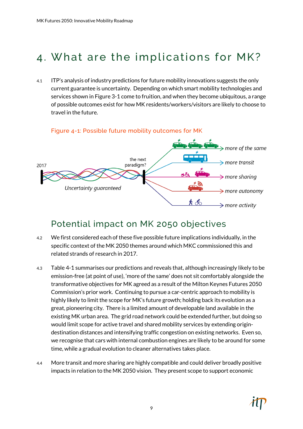# 4. What are the implications for MK?

4.1 ITP's analysis of industry predictions for future mobility innovations suggests the only current guarantee is uncertainty. Depending on which smart mobility technologies and services shown in Figure 3-1 come to fruition, and when they become ubiquitous, a range of possible outcomes exist for how MK residents/workers/visitors are likely to choose to travel in the future.



#### Figure 4-1: Possible future mobility outcomes for MK

# Potential impact on MK 2050 objectives

- 4.2 We first considered each of these five possible future implications individually, in the specific context of the MK 2050 themes around which MKC commissioned this and related strands of research in 2017.
- 4.3 Table 4-1 summarises our predictions and reveals that, although increasingly likely to be emission-free (at point of use), 'more of the same' does not sit comfortably alongside the transformative objectives for MK agreed as a result of the Milton Keynes Futures 2050 Commission's prior work. Continuing to pursue a car-centric approach to mobility is highly likely to limit the scope for MK's future growth; holding back its evolution as a great, pioneering city. There is a limited amount of developable land available in the existing MK urban area. The grid road network could be extended further, but doing so would limit scope for active travel and shared mobility services by extending origindestination distances and intensifying traffic congestion on existing networks. Even so, we recognise that cars with internal combustion engines are likely to be around for some time, while a gradual evolution to cleaner alternatives takes place.
- 4.4 More transit and more sharing are highly compatible and could deliver broadly positive impacts in relation to the MK 2050 vision. They present scope to support economic

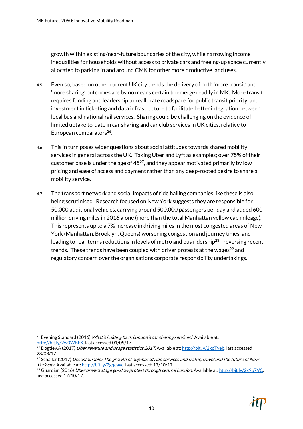growth within existing/near-future boundaries of the city, while narrowing income inequalities for households without access to private cars and freeing-up space currently allocated to parking in and around CMK for other more productive land uses.

- 4.5 Even so, based on other current UK city trends the delivery of both 'more transit' and 'more sharing' outcomes are by no means certain to emerge readily in MK. More transit requires funding and leadership to reallocate roadspace for public transit priority, and investment in ticketing and data infrastructure to facilitate better integration between local bus and national rail services. Sharing could be challenging on the evidence of limited uptake to-date in car sharing and car club services in UK cities, relative to European comparators $26$ .
- 4.6 This in turn poses wider questions about social attitudes towards shared mobility services in general across the UK. Taking Uber and Lyft as examples; over 75% of their customer base is under the age of  $45^{27}$ , and they appear motivated primarily by low pricing and ease of access and payment rather than any deep-rooted desire to share a mobility service.
- 4.7 The transport network and social impacts of ride hailing companies like these is also being scrutinised. Research focused on New York suggests they are responsible for 50,000 additional vehicles, carrying around 500,000 passengers per day and added 600 million driving miles in 2016 alone (more than the total Manhattan yellow cab mileage). This represents up to a 7% increase in driving miles in the most congested areas of New York (Manhattan, Brooklyn, Queens) worsening congestion and journey times, and leading to real-terms reductions in levels of metro and bus ridership<sup>28</sup> - reversing recent trends. These trends have been coupled with driver protests at the wages<sup>29</sup> and regulatory concern over the organisations corporate responsibility undertakings.

.

<sup>&</sup>lt;sup>29</sup> Guardian (2016) *Uber drivers stage go-slow protest through central London*. Available at: http://bit.ly/2x9p7VC, last accessed 17/10/17.



<sup>&</sup>lt;sup>26</sup> Evening Standard (2016) What's holding back London's car sharing services? Available at: [http://bit.ly/2w0WBFX,](http://bit.ly/2w0WBFX) last accessed 01/09/17.

<sup>&</sup>lt;sup>27</sup> Dogtiev,A (2017) *Uber revenue and usage statistics 2017*. Available at[: http://bit.ly/2xpTyeb,](http://bit.ly/2xpTyeb) last accessed 28/08/17.

<sup>&</sup>lt;sup>28</sup> Schaller (2017) Unsustainable? The growth of app-based ride services and traffic, travel and the future of New York city. Available at[: http://bit.ly/2gqeagc,](http://bit.ly/2gqeagc) last accessed: 17/10/17.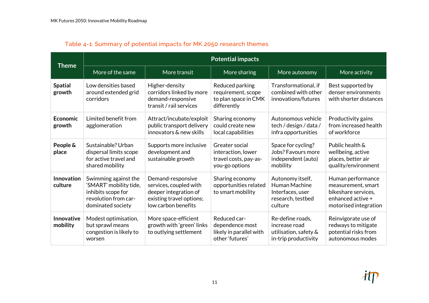|                               | <b>Potential impacts</b>                                                                                          |                                                                                                                         |                                                                                 |                                                                                       |                                                                                                              |
|-------------------------------|-------------------------------------------------------------------------------------------------------------------|-------------------------------------------------------------------------------------------------------------------------|---------------------------------------------------------------------------------|---------------------------------------------------------------------------------------|--------------------------------------------------------------------------------------------------------------|
| <b>Theme</b>                  | More of the same                                                                                                  | More transit                                                                                                            | More sharing                                                                    | More autonomy                                                                         | More activity                                                                                                |
| <b>Spatial</b><br>growth      | Low densities based<br>around extended grid<br>corridors                                                          | Higher-density<br>corridors linked by more<br>demand-responsive<br>transit / rail services                              | Reduced parking<br>requirement, scope<br>to plan space in CMK<br>differently    | Transformational, if<br>combined with other<br>innovations/futures                    | Best supported by<br>denser environments<br>with shorter distances                                           |
| <b>Economic</b><br>growth     | Limited benefit from<br>agglomeration                                                                             | Attract/incubate/exploit<br>public transport delivery<br>innovators & new skills                                        | Sharing economy<br>could create new<br>local capabilities                       | Autonomous vehicle<br>tech / design / data /<br>infra opportunities                   | Productivity gains<br>from increased health<br>of workforce                                                  |
| People &<br>place             | Sustainable? Urban<br>dispersal limits scope<br>for active travel and<br>shared mobility                          | Supports more inclusive<br>development and<br>sustainable growth                                                        | Greater social<br>interaction, lower<br>travel costs, pay-as-<br>you-go options | Space for cycling?<br>Jobs? Favours more<br>independent (auto)<br>mobility            | Public health &<br>wellbeing, active<br>places, better air<br>quality/environment                            |
| <b>Innovation</b><br>culture  | Swimming against the<br>'SMART' mobility tide,<br>inhibits scope for<br>revolution from car-<br>dominated society | Demand-responsive<br>services, coupled with<br>deeper integration of<br>existing travel options;<br>low carbon benefits | Sharing economy<br>opportunities related<br>to smart mobility                   | Autonomy itself,<br>Human Machine<br>Interfaces, user<br>research, testbed<br>culture | Human performance<br>measurement, smart<br>bikeshare services.<br>enhanced active +<br>motorised integration |
| <b>Innovative</b><br>mobility | Modest optimisation,<br>but sprawl means<br>congestion is likely to<br>worsen                                     | More space-efficient<br>growth with 'green' links<br>to outlying settlement                                             | Reduced car-<br>dependence most<br>likely in parallel with<br>other 'futures'   | Re-define roads,<br>increase road<br>utilisation, safety &<br>in-trip productivity    | Reinvigorate use of<br>redways to mitigate<br>potential risks from<br>autonomous modes                       |

#### Table 4-1: Summary of potential impacts for MK 2050 research themes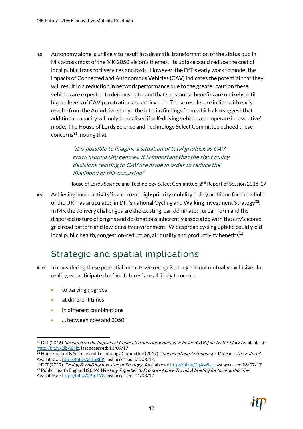4.8 Autonomy alone is unlikely to result in a dramatic transformation of the status quo in MK across most of the MK 2050 vision's themes. Its uptake could reduce the cost of local public transport services and taxis. However, the DfT's early work to model the impacts of Connected and Autonomous Vehicles (CAV) indicates the potential that they will result in a reduction in network performance due to the greater caution these vehicles are expected to demonstrate, and that substantial benefits are unlikely until higher levels of CAV penetration are achieved<sup>30</sup>. These results are in line with early results from the Autodrive study<sup>5</sup>, the interim findings from which also suggest that additional capacity will only be realised if self-driving vehicles can operate in 'assertive' mode. The House of Lords Science and Technology Select Committee echoed these concerns $31$ , noting that

> "it is possible to imagine a situation of total gridlock as CAV crawl around city centres. It is important that the right policy decisions relating to CAV are made in order to reduce the likelihood of this occurring"

House of Lords Science and Technology Select Committee, 2<sup>nd</sup> Report of Session 2016-17

4.9 Achieving 'more activity' is a current high-priority mobility policy ambition for the whole of the UK - as articulated in DfT's national Cycling and Walking Investment Strategy<sup>32</sup>. In MK the delivery challenges are the existing, car-dominated, urban form and the dispersed nature of origins and destinations inherently associated with the city's iconic grid road pattern and low-density environment. Widespread cycling uptake could yield local public health, congestion-reduction, air quality and productivity benefits<sup>33</sup>.

# Strategic and spatial implications

- 4.10 In considering these potential impacts we recognise they are not mutually exclusive. In reality, we anticipate the five 'futures' are all likely to occur:
	- to varying degrees
	- at different times

1

- in different combinations
- … between now and 2050

<sup>&</sup>lt;sup>32</sup> DfT (2017) Cycling & Walking Investment Strategy. Available at[: http://bit.ly/2qAw9zJ,](http://bit.ly/2qAw9zJ) last accessed 26/07/17. 33 Public Health England (2016) Working Together to Promote Active Travel: A briefing for local authorities. Available at[: http://bit.ly/29tuTY8,](http://bit.ly/29tuTY8) last accessed: 01/08/17.



<sup>&</sup>lt;sup>30</sup> DfT (2016) Research on the Impacts of Connected and Autonomous Vehicles (CAVs) on Traffic Flow. Available at: [http://bit.ly/2jbA6Hz,](http://bit.ly/2jbA6Hz) last accessed: 13/09/17.

<sup>31</sup> House of Lords Science and Technology Committee (2017) Connected and Autonomous Vehicles: The Future? Available at[: http://bit.ly/2f1aBbK,](http://bit.ly/2f1aBbK) last accessed: 01/08/17.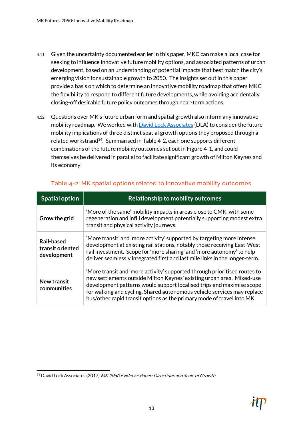- 4.11 Given the uncertainty documented earlier in this paper, MKC can make a local case for seeking to influence innovative future mobility options, and associated patterns of urban development, based on an understanding of potential impacts that best match the city's emerging vision for sustainable growth to 2050. The insights set out in this paper provide a basis on which to determine an innovative mobility roadmap that offers MKC the flexibility to respond to different future developments, while avoiding accidentally closing-off desirable future policy outcomes through near-term actions.
- 4.12 Questions over MK's future urban form and spatial growth also inform any innovative mobility roadmap. We worked with **David Lock Associates** (DLA) to consider the future mobility implications of three distinct spatial growth options they proposed through a related workstrand<sup>34</sup>. Summarised in Table 4-2, each one supports different combinations of the future mobility outcomes set out in Figure 4-1, and could themselves be delivered in parallel to facilitate significant growth of Milton Keynes and its economy.

| <b>Spatial option</b>                         | <b>Relationship to mobility outcomes</b>                                                                                                                                                                                                                                                                                                                                         |  |
|-----------------------------------------------|----------------------------------------------------------------------------------------------------------------------------------------------------------------------------------------------------------------------------------------------------------------------------------------------------------------------------------------------------------------------------------|--|
| Grow the grid                                 | 'More of the same' mobility impacts in areas close to CMK, with some<br>regeneration and infill development potentially supporting modest extra<br>transit and physical activity journeys.                                                                                                                                                                                       |  |
| Rail-based<br>transit oriented<br>development | 'More transit' and 'more activity' supported by targeting more intense<br>development at existing rail stations, notably those receiving East-West<br>rail investment. Scope for 'more sharing' and 'more autonomy' to help<br>deliver seamlessly integrated first and last mile links in the longer-term.                                                                       |  |
| <b>New transit</b><br>communities             | 'More transit and 'more activity' supported through prioritised routes to<br>new settlements outside Milton Keynes' existing urban area. Mixed-use<br>development patterns would support localised trips and maximise scope<br>for walking and cycling. Shared autonomous vehicle services may replace<br>bus/other rapid transit options as the primary mode of travel into MK. |  |

#### Table 4-2: MK spatial options related to innovative mobility outcomes

<sup>1</sup> <sup>34</sup> David Lock Associates (2017) MK 2050 Evidence Paper: Directions and Scale of Growth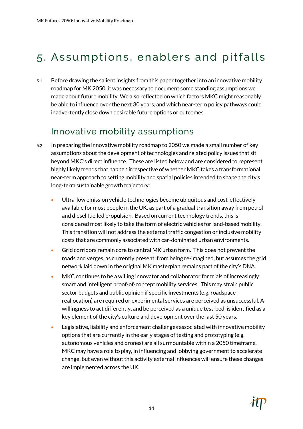# 5. Assumptions, enablers and pitfalls

5.1 Before drawing the salient insights from this paper together into an innovative mobility roadmap for MK 2050, it was necessary to document some standing assumptions we made about future mobility. We also reflected on which factors MKC might reasonably be able to influence over the next 30 years, and which near-term policy pathways could inadvertently close down desirable future options or outcomes.

## Innovative mobility assumptions

- 5.2 In preparing the innovative mobility roadmap to 2050 we made a small number of key assumptions about the development of technologies and related policy issues that sit beyond MKC's direct influence. These are listed below and are considered to represent highly likely trends that happen irrespective of whether MKC takes a transformational near-term approach to setting mobility and spatial policies intended to shape the city's long-term sustainable growth trajectory:
	- Ultra-low emission vehicle technologies become ubiquitous and cost-effectively available for most people in the UK, as part of a gradual transition away from petrol and diesel fuelled propulsion. Based on current technology trends, this is considered most likely to take the form of electric vehicles for land-based mobility. This transition will not address the external traffic congestion or inclusive mobility costs that are commonly associated with car-dominated urban environments.
	- Grid corridors remain core to central MK urban form. This does not prevent the roads and verges, as currently present, from being re-imagined, but assumes the grid network laid down in the original MK masterplan remains part of the city's DNA.
	- MKC continues to be a willing innovator and collaborator for trials of increasingly smart and intelligent proof-of-concept mobility services. This may strain public sector budgets and public opinion if specific investments (e.g. roadspace reallocation) are required or experimental services are perceived as unsuccessful. A willingness to act differently, and be perceived as a unique test-bed, is identified as a key element of the city's culture and development over the last 50 years.
	- Legislative, liability and enforcement challenges associated with innovative mobility options that are currently in the early stages of testing and prototyping (e.g. autonomous vehicles and drones) are all surmountable within a 2050 timeframe. MKC may have a role to play, in influencing and lobbying government to accelerate change, but even without this activity external influences will ensure these changes are implemented across the UK.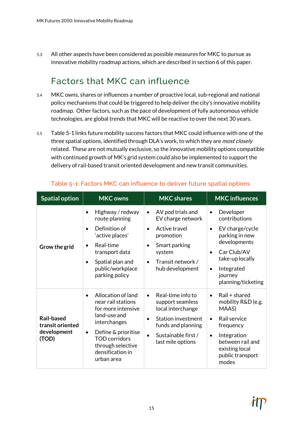5.3 All other aspects have been considered as possible measures for MKC to pursue as innovative mobility roadmap actions, which are described in section 6 of this paper.

# Factors that MKC can influence

- 5.4 MKC owns, shares or influences a number of proactive local, sub-regional and national policy mechanisms that could be triggered to help deliver the city's innovative mobility roadmap. Other factors, such as the pace of development of fully autonomous vehicle technologies, are global trends that MKC will be reactive to over the next 30 years.
- 5.5 Table 5-1 links future mobility success factors that MKC could influence with one of the three spatial options, identified through DLA's work, to which they are *most closely* related. These are not mutually exclusive, so the innovative mobility options compatible with continued growth of MK's grid system could also be implemented to support the delivery of rail-based transit oriented development and new transit communities.

| <b>Spatial option</b>                                         | <b>MKC owns</b>                                                                                                                                                                                                                | <b>MKC</b> shares                                                                                                                                                            | <b>MKC</b> influences                                                                                                                                                                              |
|---------------------------------------------------------------|--------------------------------------------------------------------------------------------------------------------------------------------------------------------------------------------------------------------------------|------------------------------------------------------------------------------------------------------------------------------------------------------------------------------|----------------------------------------------------------------------------------------------------------------------------------------------------------------------------------------------------|
| Grow the grid                                                 | Highway / redway<br>$\bullet$<br>route planning<br>Definition of<br>$\bullet$<br>'active places'<br>Real-time<br>$\bullet$<br>transport data<br>Spatial plan and<br>$\bullet$<br>public/workplace<br>parking policy            | AV pod trials and<br>٠<br>EV charge network<br>Active travel<br>promotion<br>Smart parking<br>$\bullet$<br>system<br>Transit network /<br>$\bullet$<br>hub development       | Developer<br>$\bullet$<br>contributions<br>EV charge/cycle<br>parking in new<br>developments<br>Car Club/AV<br>take-up locally<br>Integrated<br>$\bullet$<br>journey<br>planning/ticketing         |
| <b>Rail-based</b><br>transit oriented<br>development<br>(TOD) | Allocation of land<br>$\bullet$<br>near rail stations<br>for more intensive<br>land-use and<br>interchanges<br>Define & prioritise<br>$\bullet$<br><b>TOD</b> corridors<br>through selective<br>densification in<br>urban area | Real-time info to<br>$\bullet$<br>support seamless<br>local interchange<br>Station investment<br>funds and planning<br>Sustainable first /<br>$\bullet$<br>last mile options | Rail + shared<br>$\bullet$<br>mobility R&D (e.g.<br>MAAS)<br>Rail service<br>$\bullet$<br>frequency<br>Integration<br>$\bullet$<br>between rail and<br>existing local<br>public transport<br>modes |

#### Table 5-1: Factors MKC can influence to deliver future spatial options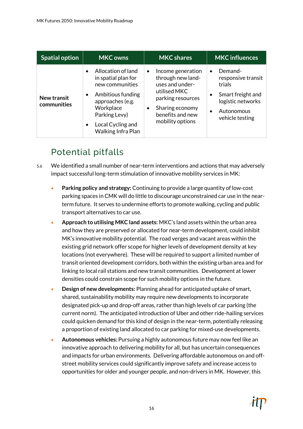| <b>Spatial option</b>             | <b>MKC owns</b>                                                                                                                                                                                                       | <b>MKC</b> shares                                                                                                                                                                   | <b>MKC</b> influences                                                                                                                        |
|-----------------------------------|-----------------------------------------------------------------------------------------------------------------------------------------------------------------------------------------------------------------------|-------------------------------------------------------------------------------------------------------------------------------------------------------------------------------------|----------------------------------------------------------------------------------------------------------------------------------------------|
| <b>New transit</b><br>communities | Allocation of land<br>$\bullet$<br>in spatial plan for<br>new communities<br>Ambitious funding<br>$\bullet$<br>approaches (e.g.<br>Workplace<br>Parking Levy)<br>Local Cycling and<br>$\bullet$<br>Walking Infra Plan | Income generation<br>$\bullet$<br>through new land-<br>uses and under-<br>utilised MKC<br>parking resources<br>Sharing economy<br>$\bullet$<br>benefits and new<br>mobility options | Demand-<br>$\bullet$<br>responsive transit<br>trials<br>Smart freight and<br>$\bullet$<br>logistic networks<br>Autonomous<br>vehicle testing |

# Potential pitfalls

- 5.6 We identified a small number of near-term interventions and actions that may adversely impact successful long-term stimulation of innovative mobility services in MK:
	- Parking policy and strategy: Continuing to provide a large quantity of low-cost parking spaces in CMK will do little to discourage unconstrained car use in the nearterm future. It serves to undermine efforts to promote walking, cycling and public transport alternatives to car use.
	- Approach to utilising MKC land assets: MKC's land assets within the urban area and how they are preserved or allocated for near-term development, could inhibit MK's innovative mobility potential. The road verges and vacant areas within the existing grid network offer scope for higher levels of development density at key locations (not everywhere). These will be required to support a limited number of transit oriented development corridors, both within the existing urban area and for linking to local rail stations and new transit communities. Development at lower densities could constrain scope for such mobility options in the future.
	- Design of new developments: Planning ahead for anticipated uptake of smart, shared, sustainability mobility may require new developments to incorporate designated pick-up and drop-off areas, rather than high levels of car parking (the current norm). The anticipated introduction of Uber and other ride-hailing services could quicken demand for this kind of design in the near-term, potentially releasing a proportion of existing land allocated to car parking for mixed-use developments.
	- Autonomous vehicles: Pursuing a highly autonomous future may now feel like an innovative approach to delivering mobility for all, but has uncertain consequences and impacts for urban environments. Delivering affordable autonomous on and offstreet mobility services could significantly improve safety and increase access to opportunities for older and younger people, and non-drivers in MK. However, this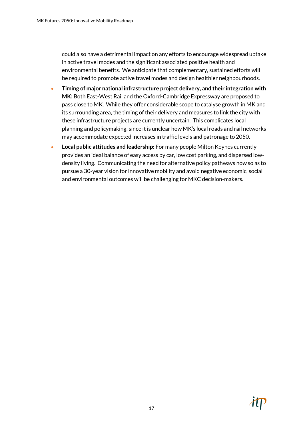could also have a detrimental impact on any efforts to encourage widespread uptake in active travel modes and the significant associated positive health and environmental benefits. We anticipate that complementary, sustained efforts will be required to promote active travel modes and design healthier neighbourhoods.

- Timing of major national infrastructure project delivery, and their integration with MK: Both East-West Rail and the Oxford-Cambridge Expressway are proposed to pass close to MK. While they offer considerable scope to catalyse growth in MK and its surrounding area, the timing of their delivery and measures to link the city with these infrastructure projects are currently uncertain. This complicates local planning and policymaking, since it is unclear how MK's local roads and rail networks may accommodate expected increases in traffic levels and patronage to 2050.
- Local public attitudes and leadership: For many people Milton Keynes currently provides an ideal balance of easy access by car, low cost parking, and dispersed lowdensity living. Communicating the need for alternative policy pathways now so as to pursue a 30-year vision for innovative mobility and avoid negative economic, social and environmental outcomes will be challenging for MKC decision-makers.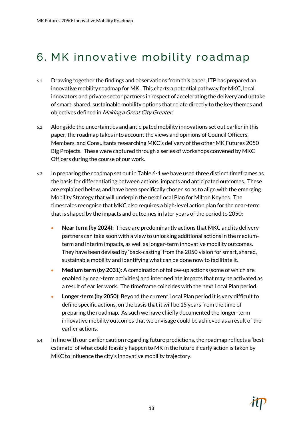# 6. MK innovative mobility roadmap

- 6.1 Drawing together the findings and observations from this paper, ITP has prepared an innovative mobility roadmap for MK. This charts a potential pathway for MKC, local innovators and private sector partners in respect of accelerating the delivery and uptake of smart, shared, sustainable mobility options that relate directly to the key themes and objectives defined in *Making a Great City Greater*.
- 6.2 Alongside the uncertainties and anticipated mobility innovations set out earlier in this paper, the roadmap takes into account the views and opinions of Council Officers, Members, and Consultants researching MKC's delivery of the other MK Futures 2050 Big Projects. These were captured through a series of workshops convened by MKC Officers during the course of our work.
- 6.3 In preparing the roadmap set out in Table 6-1 we have used three distinct timeframes as the basis for differentiating between actions, impacts and anticipated outcomes. These are explained below, and have been specifically chosen so as to align with the emerging Mobility Strategy that will underpin the next Local Plan for Milton Keynes. The timescales recognise that MKC also requires a high-level action plan for the near-term that is shaped by the impacts and outcomes in later years of the period to 2050:
	- Near term (by 2024): These are predominantly actions that MKC and its delivery partners can take soon with a view to unlocking additional actions in the mediumterm and interim impacts, as well as longer-term innovative mobility outcomes. They have been devised by 'back-casting' from the 2050 vision for smart, shared, sustainable mobility and identifying what can be done now to facilitate it.
	- Medium term (by 2031): A combination of follow-up actions (some of which are enabled by near-term activities) and intermediate impacts that may be activated as a result of earlier work. The timeframe coincides with the next Local Plan period.
	- Longer-term (by 2050): Beyond the current Local Plan period it is very difficult to define specific actions, on the basis that it will be 15 years from the time of preparing the roadmap. As such we have chiefly documented the longer-term innovative mobility outcomes that we envisage could be achieved as a result of the earlier actions.
- 6.4 In line with our earlier caution regarding future predictions, the roadmap reflects a 'bestestimate' of what could feasibly happen to MK in the future if early action is taken by MKC to influence the city's innovative mobility trajectory.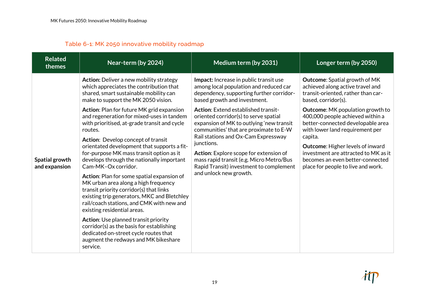### Table 6-1: MK 2050 innovative mobility roadmap

| <b>Related</b><br>themes        | Near-term (by 2024)                                                                                                                                                                                                                                                                                                                                                                                                     | Medium term (by 2031)                                                                                                                                                                                                                                                                                                                                                                                                                                                                                                                                     | Longer term (by 2050)                                                                                                                                                                                                                                                                                                                                                                                                                                         |
|---------------------------------|-------------------------------------------------------------------------------------------------------------------------------------------------------------------------------------------------------------------------------------------------------------------------------------------------------------------------------------------------------------------------------------------------------------------------|-----------------------------------------------------------------------------------------------------------------------------------------------------------------------------------------------------------------------------------------------------------------------------------------------------------------------------------------------------------------------------------------------------------------------------------------------------------------------------------------------------------------------------------------------------------|---------------------------------------------------------------------------------------------------------------------------------------------------------------------------------------------------------------------------------------------------------------------------------------------------------------------------------------------------------------------------------------------------------------------------------------------------------------|
| Spatial growth<br>and expansion | <b>Action:</b> Deliver a new mobility strategy<br>which appreciates the contribution that<br>shared, smart sustainable mobility can<br>make to support the MK 2050 vision.<br>Action: Plan for future MK grid expansion<br>and regeneration for mixed-uses in tandem<br>with prioritised, at-grade transit and cycle<br>routes.<br>Action: Develop concept of transit                                                   | Impact: Increase in public transit use<br>among local population and reduced car<br>dependency, supporting further corridor-<br>based growth and investment.<br><b>Action:</b> Extend established transit-<br>oriented corridor(s) to serve spatial<br>expansion of MK to outlying 'new transit<br>communities' that are proximate to E-W<br>Rail stations and Ox-Cam Expressway<br>junctions.<br>Action: Explore scope for extension of<br>mass rapid transit (e.g. Micro Metro/Bus<br>Rapid Transit) investment to complement<br>and unlock new growth. | Outcome: Spatial growth of MK<br>achieved along active travel and<br>transit-oriented, rather than car-<br>based, corridor(s).<br><b>Outcome: MK population growth to</b><br>400,000 people achieved within a<br>better-connected developable area<br>with lower land requirement per<br>capita.<br><b>Outcome:</b> Higher levels of inward<br>investment are attracted to MK as it<br>becomes an even better-connected<br>place for people to live and work. |
|                                 | orientated development that supports a fit-<br>for-purpose MK mass transit option as it<br>develops through the nationally important<br>Cam-MK-Ox corridor.<br>Action: Plan for some spatial expansion of<br>MK urban area along a high frequency<br>transit priority corridor(s) that links<br>existing trip generators, MKC and Bletchley<br>rail/coach stations, and CMK with new and<br>existing residential areas. |                                                                                                                                                                                                                                                                                                                                                                                                                                                                                                                                                           |                                                                                                                                                                                                                                                                                                                                                                                                                                                               |
|                                 | Action: Use planned transit priority<br>corridor(s) as the basis for establishing<br>dedicated on-street cycle routes that<br>augment the redways and MK bikeshare<br>service.                                                                                                                                                                                                                                          |                                                                                                                                                                                                                                                                                                                                                                                                                                                                                                                                                           |                                                                                                                                                                                                                                                                                                                                                                                                                                                               |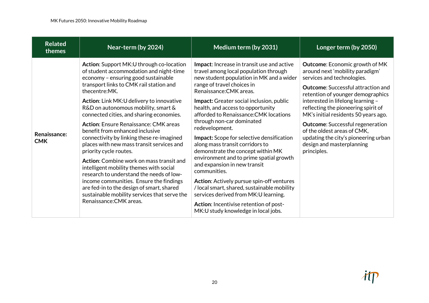| <b>Related</b><br>themes          | Near-term (by 2024)                                                                                                                                                                                                                                                                                                                                                                                                                                                                                                                                                                                                                                                                                                                                                                                                          | Medium term (by 2031)                                                                                                                                                                                                                                                                                                                                                                                                                                                                                                                                                                                                                                                                                                                                                                                    | Longer term (by 2050)                                                                                                                                                                                                                                                                                                                                                                                                                                                      |
|-----------------------------------|------------------------------------------------------------------------------------------------------------------------------------------------------------------------------------------------------------------------------------------------------------------------------------------------------------------------------------------------------------------------------------------------------------------------------------------------------------------------------------------------------------------------------------------------------------------------------------------------------------------------------------------------------------------------------------------------------------------------------------------------------------------------------------------------------------------------------|----------------------------------------------------------------------------------------------------------------------------------------------------------------------------------------------------------------------------------------------------------------------------------------------------------------------------------------------------------------------------------------------------------------------------------------------------------------------------------------------------------------------------------------------------------------------------------------------------------------------------------------------------------------------------------------------------------------------------------------------------------------------------------------------------------|----------------------------------------------------------------------------------------------------------------------------------------------------------------------------------------------------------------------------------------------------------------------------------------------------------------------------------------------------------------------------------------------------------------------------------------------------------------------------|
| <b>Renaissance:</b><br><b>CMK</b> | Action: Support MK:U through co-location<br>of student accommodation and night-time<br>economy - ensuring good sustainable<br>transport links to CMK rail station and<br>thecentre:MK.<br>Action: Link MK: U delivery to innovative<br>R&D on autonomous mobility, smart &<br>connected cities, and sharing economies.<br>Action: Ensure Renaissance: CMK areas<br>benefit from enhanced inclusive<br>connectivity by linking these re-imagined<br>places with new mass transit services and<br>priority cycle routes.<br>Action: Combine work on mass transit and<br>intelligent mobility themes with social<br>research to understand the needs of low-<br>income communities. Ensure the findings<br>are fed-in to the design of smart, shared<br>sustainable mobility services that serve the<br>Renaissance: CMK areas. | Impact: Increase in transit use and active<br>travel among local population through<br>new student population in MK and a wider<br>range of travel choices in<br>Renaissance: CMK areas.<br>Impact: Greater social inclusion, public<br>health, and access to opportunity<br>afforded to Renaissance: CMK locations<br>through non-car dominated<br>redevelopment.<br>Impact: Scope for selective densification<br>along mass transit corridors to<br>demonstrate the concept within MK<br>environment and to prime spatial growth<br>and expansion in new transit<br>communities.<br>Action: Actively pursue spin-off ventures<br>/ local smart, shared, sustainable mobility<br>services derived from MK: U learning.<br>Action: Incentivise retention of post-<br>MK:U study knowledge in local jobs. | <b>Outcome:</b> Economic growth of MK<br>around next 'mobility paradigm'<br>services and technologies.<br><b>Outcome:</b> Successful attraction and<br>retention of younger demographics<br>interested in lifelong learning -<br>reflecting the pioneering spirit of<br>MK's initial residents 50 years ago.<br><b>Outcome:</b> Successful regeneration<br>of the oldest areas of CMK,<br>updating the city's pioneering urban<br>design and masterplanning<br>principles. |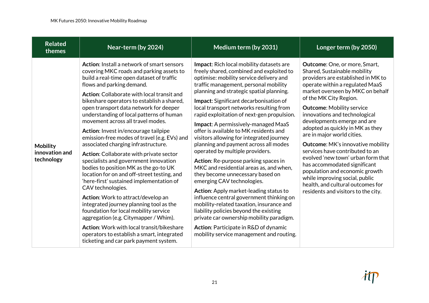| <b>Related</b><br>themes                        | Near-term (by 2024)                                                                                                                                                                                                                                                                                                                                                                                                                                                                                                                                                                                                                                                                                                                                                                                                                                                                                                                                                                                                                                                                | Medium term (by 2031)                                                                                                                                                                                                                                                                                                                                                                                                                                                                                                                                                                                                                                                                                                                                                                                                                                                                                                                                                                                                                     | Longer term (by 2050)                                                                                                                                                                                                                                                                                                                                                                                                                                                                                                                                                                                                                                                                  |
|-------------------------------------------------|------------------------------------------------------------------------------------------------------------------------------------------------------------------------------------------------------------------------------------------------------------------------------------------------------------------------------------------------------------------------------------------------------------------------------------------------------------------------------------------------------------------------------------------------------------------------------------------------------------------------------------------------------------------------------------------------------------------------------------------------------------------------------------------------------------------------------------------------------------------------------------------------------------------------------------------------------------------------------------------------------------------------------------------------------------------------------------|-------------------------------------------------------------------------------------------------------------------------------------------------------------------------------------------------------------------------------------------------------------------------------------------------------------------------------------------------------------------------------------------------------------------------------------------------------------------------------------------------------------------------------------------------------------------------------------------------------------------------------------------------------------------------------------------------------------------------------------------------------------------------------------------------------------------------------------------------------------------------------------------------------------------------------------------------------------------------------------------------------------------------------------------|----------------------------------------------------------------------------------------------------------------------------------------------------------------------------------------------------------------------------------------------------------------------------------------------------------------------------------------------------------------------------------------------------------------------------------------------------------------------------------------------------------------------------------------------------------------------------------------------------------------------------------------------------------------------------------------|
| <b>Mobility</b><br>innovation and<br>technology | <b>Action:</b> Install a network of smart sensors<br>covering MKC roads and parking assets to<br>build a real-time open dataset of traffic<br>flows and parking demand.<br>Action: Collaborate with local transit and<br>bikeshare operators to establish a shared,<br>open transport data network for deeper<br>understanding of local patterns of human<br>movement across all travel modes.<br>Action: Invest in/encourage tailpipe<br>emission-free modes of travel (e.g. EVs) and<br>associated charging infrastructure.<br>Action: Collaborate with private sector<br>specialists and government innovation<br>bodies to position MK as the go-to UK<br>location for on and off-street testing, and<br>'here-first' sustained implementation of<br>CAV technologies.<br>Action: Work to attract/develop an<br>integrated journey planning tool as the<br>foundation for local mobility service<br>aggregation (e.g. Citymapper / Whim).<br>Action: Work with local transit/bikeshare<br>operators to establish a smart, integrated<br>ticketing and car park payment system. | Impact: Rich local mobility datasets are<br>freely shared, combined and exploited to<br>optimise: mobility service delivery and<br>traffic management, personal mobility<br>planning and strategic spatial planning.<br>Impact: Significant decarbonisation of<br>local transport networks resulting from<br>rapid exploitation of next-gen propulsion.<br><b>Impact:</b> A permissively-managed MaaS<br>offer is available to MK residents and<br>visitors allowing for integrated journey<br>planning and payment across all modes<br>operated by multiple providers.<br>Action: Re-purpose parking spaces in<br>MKC and residential areas as, and when,<br>they become unnecessary based on<br>emerging CAV technologies.<br>Action: Apply market-leading status to<br>influence central government thinking on<br>mobility-related taxation, insurance and<br>liability policies beyond the existing<br>private car ownership mobility paradigm.<br>Action: Participate in R&D of dynamic<br>mobility service management and routing. | <b>Outcome:</b> One, or more, Smart,<br>Shared, Sustainable mobility<br>providers are established in MK to<br>operate within a regulated MaaS<br>market overseen by MKC on behalf<br>of the MK City Region.<br><b>Outcome: Mobility service</b><br>innovations and technological<br>developments emerge and are<br>adopted as quickly in MK as they<br>are in major world cities.<br><b>Outcome: MK's innovative mobility</b><br>services have contributed to an<br>evolved 'new town' urban form that<br>has accommodated significant<br>population and economic growth<br>while improving social, public<br>health, and cultural outcomes for<br>residents and visitors to the city. |

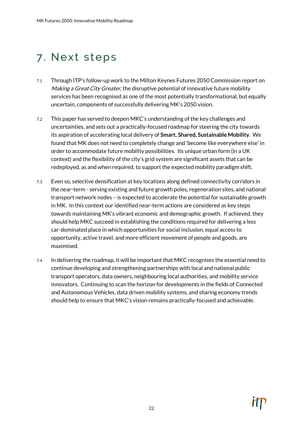# 7. Next steps

- 7.1 Through ITP's follow-up work to the Milton Keynes Futures 2050 Commission report on Making a Great City Greater, the disruptive potential of innovative future mobility services has been recognised as one of the most potentially transformational, but equally uncertain, components of successfully delivering MK's 2050 vision.
- 7.2 This paper has served to deepen MKC's understanding of the key challenges and uncertainties, and sets out a practically-focused roadmap for steering the city towards its aspiration of accelerating local delivery of Smart, Shared, Sustainable Mobility. We found that MK does not need to completely change and 'become like everywhere else' in order to accommodate future mobility possibilities. Its unique urban form (in a UK context) and the flexibility of the city's grid system are significant assets that can be redeployed, as and when required, to support the expected mobility paradigm shift.
- 7.3 Even so, selective densification at key locations along defined connectivity corridors in the near-term - serving existing and future growth poles, regeneration sites, and national transport network nodes – is expected to accelerate the potential for sustainable growth in MK. In this context our identified near-term actions are considered as key steps towards maintaining MK's vibrant economic and demographic growth. If achieved, they should help MKC succeed in establishing the conditions required for delivering a less car-dominated place in which opportunities for social inclusion, equal access to opportunity, active travel, and more efficient movement of people and goods, are maximised.
- 7.4 In delivering the roadmap, it will be important that MKC recognises the essential need to continue developing and strengthening partnerships with local and national public transport operators, data owners, neighbouring local authorities, and mobility service innovators. Continuing to scan the horizon for developments in the fields of Connected and Autonomous Vehicles, data driven mobility systems, and sharing economy trends should help to ensure that MKC's vision remains practically-focused and achievable.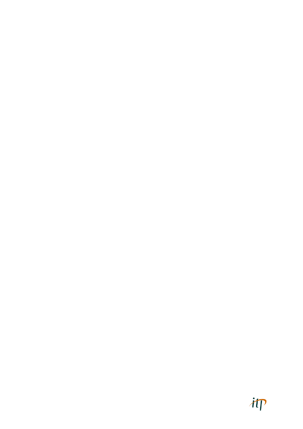# $i\mathsf{t}$